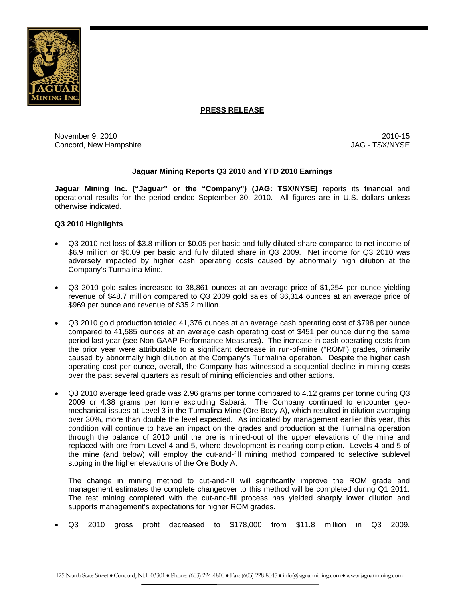

## **PRESS RELEASE**

November 9, 2010 2010-15 Concord, New Hampshire  $JAG - TSX/NYSE$ 

## **Jaguar Mining Reports Q3 2010 and YTD 2010 Earnings**

**Jaguar Mining Inc. ("Jaguar" or the "Company") (JAG: TSX/NYSE)** reports its financial and operational results for the period ended September 30, 2010. All figures are in U.S. dollars unless otherwise indicated.

## **Q3 2010 Highlights**

- Q3 2010 net loss of \$3.8 million or \$0.05 per basic and fully diluted share compared to net income of \$6.9 million or \$0.09 per basic and fully diluted share in Q3 2009. Net income for Q3 2010 was adversely impacted by higher cash operating costs caused by abnormally high dilution at the Company's Turmalina Mine.
- Q3 2010 gold sales increased to 38,861 ounces at an average price of \$1,254 per ounce yielding revenue of \$48.7 million compared to Q3 2009 gold sales of 36,314 ounces at an average price of \$969 per ounce and revenue of \$35.2 million.
- Q3 2010 gold production totaled 41,376 ounces at an average cash operating cost of \$798 per ounce compared to 41,585 ounces at an average cash operating cost of \$451 per ounce during the same period last year (see Non-GAAP Performance Measures). The increase in cash operating costs from the prior year were attributable to a significant decrease in run-of-mine ("ROM") grades, primarily caused by abnormally high dilution at the Company's Turmalina operation. Despite the higher cash operating cost per ounce, overall, the Company has witnessed a sequential decline in mining costs over the past several quarters as result of mining efficiencies and other actions.
- Q3 2010 average feed grade was 2.96 grams per tonne compared to 4.12 grams per tonne during Q3 2009 or 4.38 grams per tonne excluding Sabará. The Company continued to encounter geomechanical issues at Level 3 in the Turmalina Mine (Ore Body A), which resulted in dilution averaging over 30%, more than double the level expected. As indicated by management earlier this year, this condition will continue to have an impact on the grades and production at the Turmalina operation through the balance of 2010 until the ore is mined-out of the upper elevations of the mine and replaced with ore from Level 4 and 5, where development is nearing completion. Levels 4 and 5 of the mine (and below) will employ the cut-and-fill mining method compared to selective sublevel stoping in the higher elevations of the Ore Body A.

The change in mining method to cut-and-fill will significantly improve the ROM grade and management estimates the complete changeover to this method will be completed during Q1 2011. The test mining completed with the cut-and-fill process has yielded sharply lower dilution and supports management's expectations for higher ROM grades.

• Q3 2010 gross profit decreased to \$178,000 from \$11.8 million in Q3 2009.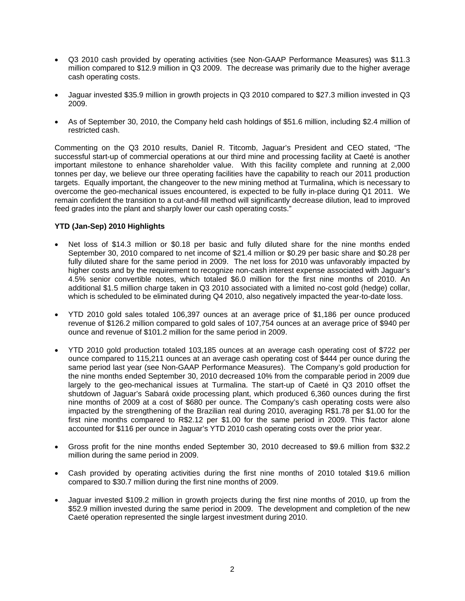- Q3 2010 cash provided by operating activities (see Non-GAAP Performance Measures) was \$11.3 million compared to \$12.9 million in Q3 2009. The decrease was primarily due to the higher average cash operating costs.
- Jaguar invested \$35.9 million in growth projects in Q3 2010 compared to \$27.3 million invested in Q3 2009.
- As of September 30, 2010, the Company held cash holdings of \$51.6 million, including \$2.4 million of restricted cash.

Commenting on the Q3 2010 results, Daniel R. Titcomb, Jaguar's President and CEO stated, "The successful start-up of commercial operations at our third mine and processing facility at Caeté is another important milestone to enhance shareholder value. With this facility complete and running at 2,000 tonnes per day, we believe our three operating facilities have the capability to reach our 2011 production targets. Equally important, the changeover to the new mining method at Turmalina, which is necessary to overcome the geo-mechanical issues encountered, is expected to be fully in-place during Q1 2011. We remain confident the transition to a cut-and-fill method will significantly decrease dilution, lead to improved feed grades into the plant and sharply lower our cash operating costs."

## **YTD (Jan-Sep) 2010 Highlights**

- Net loss of \$14.3 million or \$0.18 per basic and fully diluted share for the nine months ended September 30, 2010 compared to net income of \$21.4 million or \$0.29 per basic share and \$0.28 per fully diluted share for the same period in 2009. The net loss for 2010 was unfavorably impacted by higher costs and by the requirement to recognize non-cash interest expense associated with Jaguar's 4.5% senior convertible notes, which totaled \$6.0 million for the first nine months of 2010. An additional \$1.5 million charge taken in Q3 2010 associated with a limited no-cost gold (hedge) collar, which is scheduled to be eliminated during Q4 2010, also negatively impacted the vear-to-date loss.
- YTD 2010 gold sales totaled 106,397 ounces at an average price of \$1,186 per ounce produced revenue of \$126.2 million compared to gold sales of 107,754 ounces at an average price of \$940 per ounce and revenue of \$101.2 million for the same period in 2009.
- YTD 2010 gold production totaled 103,185 ounces at an average cash operating cost of \$722 per ounce compared to 115,211 ounces at an average cash operating cost of \$444 per ounce during the same period last year (see Non-GAAP Performance Measures). The Company's gold production for the nine months ended September 30, 2010 decreased 10% from the comparable period in 2009 due largely to the geo-mechanical issues at Turmalina. The start-up of Caeté in Q3 2010 offset the shutdown of Jaguar's Sabará oxide processing plant, which produced 6,360 ounces during the first nine months of 2009 at a cost of \$680 per ounce. The Company's cash operating costs were also impacted by the strengthening of the Brazilian real during 2010, averaging R\$1.78 per \$1.00 for the first nine months compared to R\$2.12 per \$1.00 for the same period in 2009. This factor alone accounted for \$116 per ounce in Jaguar's YTD 2010 cash operating costs over the prior year.
- Gross profit for the nine months ended September 30, 2010 decreased to \$9.6 million from \$32.2 million during the same period in 2009.
- Cash provided by operating activities during the first nine months of 2010 totaled \$19.6 million compared to \$30.7 million during the first nine months of 2009.
- Jaguar invested \$109.2 million in growth projects during the first nine months of 2010, up from the \$52.9 million invested during the same period in 2009. The development and completion of the new Caeté operation represented the single largest investment during 2010.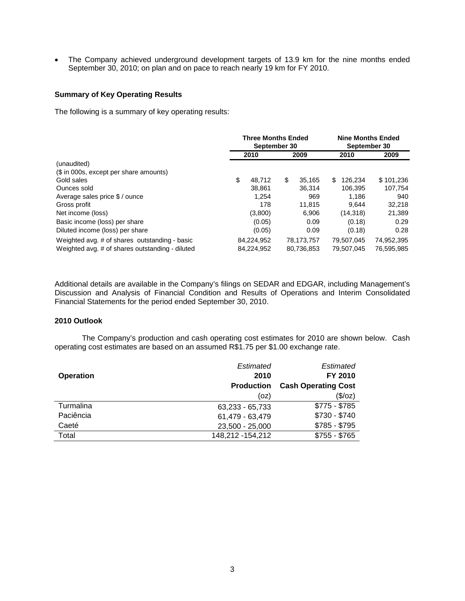• The Company achieved underground development targets of 13.9 km for the nine months ended September 30, 2010; on plan and on pace to reach nearly 19 km for FY 2010.

## **Summary of Key Operating Results**

The following is a summary of key operating results:

|                                                 | <b>Three Months Ended</b><br>September 30 |    |            | <b>Nine Months Ended</b><br>September 30 |            |            |
|-------------------------------------------------|-------------------------------------------|----|------------|------------------------------------------|------------|------------|
|                                                 | 2010                                      |    | 2009       |                                          | 2010       | 2009       |
| (unaudited)                                     |                                           |    |            |                                          |            |            |
| (\$ in 000s, except per share amounts)          |                                           |    |            |                                          |            |            |
| Gold sales                                      | \$<br>48.712                              | \$ | 35.165     | \$.                                      | 126.234    | \$101,236  |
| Ounces sold                                     | 38.861                                    |    | 36.314     |                                          | 106.395    | 107,754    |
| Average sales price \$ / ounce                  | 1,254                                     |    | 969        |                                          | 1.186      | 940        |
| Gross profit                                    | 178                                       |    | 11.815     |                                          | 9.644      | 32.218     |
| Net income (loss)                               | (3,800)                                   |    | 6.906      |                                          | (14, 318)  | 21,389     |
| Basic income (loss) per share                   | (0.05)                                    |    | 0.09       |                                          | (0.18)     | 0.29       |
| Diluted income (loss) per share                 | (0.05)                                    |    | 0.09       |                                          | (0.18)     | 0.28       |
| Weighted avg. # of shares outstanding - basic   | 84,224,952                                |    | 78,173,757 |                                          | 79.507.045 | 74,952,395 |
| Weighted avg. # of shares outstanding - diluted | 84.224.952                                |    | 80,736,853 |                                          | 79.507.045 | 76,595,985 |

Additional details are available in the Company's filings on SEDAR and EDGAR, including Management's Discussion and Analysis of Financial Condition and Results of Operations and Interim Consolidated Financial Statements for the period ended September 30, 2010.

## **2010 Outlook**

The Company's production and cash operating cost estimates for 2010 are shown below. Cash operating cost estimates are based on an assumed R\$1.75 per \$1.00 exchange rate.

|                  | Estimated         | Estimated                  |
|------------------|-------------------|----------------------------|
| <b>Operation</b> | 2010              | FY 2010                    |
|                  | <b>Production</b> | <b>Cash Operating Cost</b> |
|                  | (oz)              | (\$/oz)                    |
| Turmalina        | 63,233 - 65,733   | $$775 - $785$              |
| Paciência        | 61,479 - 63,479   | $$730 - $740$              |
| Caeté            | 23,500 - 25,000   | $$785 - $795$              |
| Total            | 148,212 - 154,212 | $$755 - $765$              |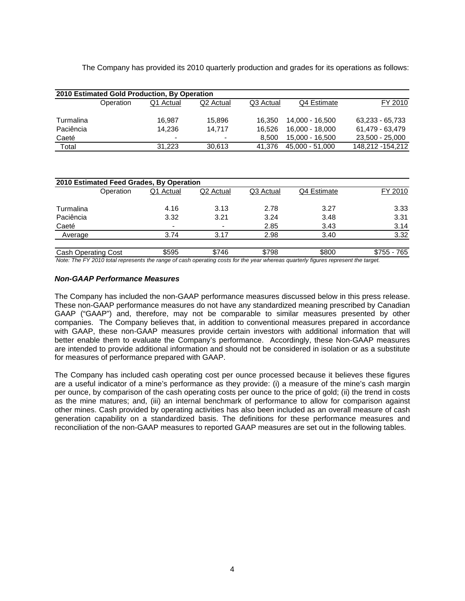The Company has provided its 2010 quarterly production and grades for its operations as follows:

|           |           | 2010 Estimated Gold Production, By Operation |                          |           |                 |                  |
|-----------|-----------|----------------------------------------------|--------------------------|-----------|-----------------|------------------|
|           | Operation | Q1 Actual                                    | Q2 Actual                | Q3 Actual | Q4 Estimate     | FY 2010          |
|           |           |                                              |                          |           |                 |                  |
| Turmalina |           | 16.987                                       | 15.896                   | 16.350    | 14.000 - 16.500 | 63,233 - 65,733  |
| Paciência |           | 14.236                                       | 14.717                   | 16.526    | 16.000 - 18.000 | 61.479 - 63.479  |
| Caeté     |           | $\blacksquare$                               | $\overline{\phantom{0}}$ | 8.500     | 15,000 - 16,500 | 23,500 - 25,000  |
| Total     |           | 31.223                                       | 30.613                   | 41.376    | 45,000 - 51,000 | 148,212 -154,212 |

| 2010 Estimated Feed Grades, By Operation |           |           |                              |           |             |             |  |
|------------------------------------------|-----------|-----------|------------------------------|-----------|-------------|-------------|--|
|                                          | Operation | Q1 Actual | Q <sub>2</sub> Actual        | Q3 Actual | Q4 Estimate | FY 2010     |  |
| Turmalina                                |           | 4.16      | 3.13                         | 2.78      | 3.27        | 3.33        |  |
| Paciência                                |           | 3.32      | 3.21                         | 3.24      | 3.48        | 3.31        |  |
| Caeté                                    |           | -         | $\qquad \qquad \blacksquare$ | 2.85      | 3.43        | 3.14        |  |
| Average                                  |           | 3.74      | 3.17                         | 2.98      | 3.40        | 3.32        |  |
| <b>Cash Operating Cost</b>               |           | \$595     | \$746                        | \$798     | \$800       | \$755 - 765 |  |

*Note: The FY 2010 total represents the range of cash operating costs for the year whereas quarterly figures represent the target.*

## *Non-GAAP Performance Measures*

The Company has included the non-GAAP performance measures discussed below in this press release. These non-GAAP performance measures do not have any standardized meaning prescribed by Canadian GAAP ("GAAP") and, therefore, may not be comparable to similar measures presented by other companies. The Company believes that, in addition to conventional measures prepared in accordance with GAAP, these non-GAAP measures provide certain investors with additional information that will better enable them to evaluate the Company's performance. Accordingly, these Non-GAAP measures are intended to provide additional information and should not be considered in isolation or as a substitute for measures of performance prepared with GAAP.

The Company has included cash operating cost per ounce processed because it believes these figures are a useful indicator of a mine's performance as they provide: (i) a measure of the mine's cash margin per ounce, by comparison of the cash operating costs per ounce to the price of gold; (ii) the trend in costs as the mine matures; and, (iii) an internal benchmark of performance to allow for comparison against other mines. Cash provided by operating activities has also been included as an overall measure of cash generation capability on a standardized basis. The definitions for these performance measures and reconciliation of the non-GAAP measures to reported GAAP measures are set out in the following tables.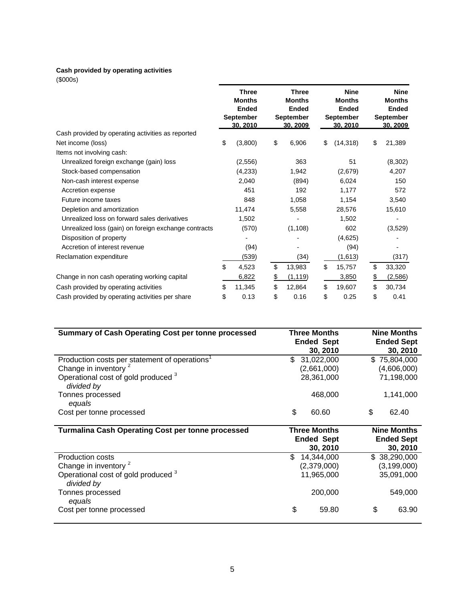## **Cash provided by operating activities**

(\$000s)

|                                                      | <b>Three</b><br><b>Months</b><br><b>Ended</b><br><b>September</b><br>30.2010 | <b>Three</b><br><b>Months</b><br><b>Ended</b><br><b>September</b><br>30.2009 | <b>Nine</b><br><b>Months</b><br><b>Ended</b><br><b>September</b><br>30.2010 | <b>Nine</b><br><b>Months</b><br><b>Ended</b><br><b>September</b><br>30.2009 |
|------------------------------------------------------|------------------------------------------------------------------------------|------------------------------------------------------------------------------|-----------------------------------------------------------------------------|-----------------------------------------------------------------------------|
| Cash provided by operating activities as reported    |                                                                              |                                                                              |                                                                             |                                                                             |
| Net income (loss)                                    | \$<br>(3,800)                                                                | \$<br>6,906                                                                  | \$<br>(14, 318)                                                             | \$<br>21,389                                                                |
| Items not involving cash:                            |                                                                              |                                                                              |                                                                             |                                                                             |
| Unrealized foreign exchange (gain) loss              | (2, 556)                                                                     | 363                                                                          | 51                                                                          | (8, 302)                                                                    |
| Stock-based compensation                             | (4,233)                                                                      | 1,942                                                                        | (2,679)                                                                     | 4,207                                                                       |
| Non-cash interest expense                            | 2,040                                                                        | (894)                                                                        | 6,024                                                                       | 150                                                                         |
| Accretion expense                                    | 451                                                                          | 192                                                                          | 1,177                                                                       | 572                                                                         |
| Future income taxes                                  | 848                                                                          | 1,058                                                                        | 1,154                                                                       | 3,540                                                                       |
| Depletion and amortization                           | 11,474                                                                       | 5,558                                                                        | 28,576                                                                      | 15,610                                                                      |
| Unrealized loss on forward sales derivatives         | 1,502                                                                        |                                                                              | 1,502                                                                       | ۰                                                                           |
| Unrealized loss (gain) on foreign exchange contracts | (570)                                                                        | (1, 108)                                                                     | 602                                                                         | (3,529)                                                                     |
| Disposition of property                              |                                                                              |                                                                              | (4,625)                                                                     |                                                                             |
| Accretion of interest revenue                        | (94)                                                                         |                                                                              | (94)                                                                        |                                                                             |
| Reclamation expenditure                              | (539)                                                                        | (34)                                                                         | (1,613)                                                                     | (317)                                                                       |
|                                                      | \$<br>4,523                                                                  | \$<br>13,983                                                                 | \$<br>15,757                                                                | \$<br>33,320                                                                |
| Change in non cash operating working capital         | 6,822                                                                        | \$<br>(1, 119)                                                               | 3,850                                                                       | \$<br>(2,586)                                                               |
| Cash provided by operating activities                | \$<br>11,345                                                                 | \$<br>12,864                                                                 | \$<br>19,607                                                                | \$<br>30,734                                                                |
| Cash provided by operating activities per share      | \$<br>0.13                                                                   | \$<br>0.16                                                                   | \$<br>0.25                                                                  | \$<br>0.41                                                                  |

| <b>Summary of Cash Operating Cost per tonne processed</b>    | <b>Three Months</b><br><b>Ended Sept</b><br>30, 2010 | <b>Nine Months</b><br><b>Ended Sept</b><br>30, 2010 |
|--------------------------------------------------------------|------------------------------------------------------|-----------------------------------------------------|
| Production costs per statement of operations <sup>1</sup>    | \$<br>31,022,000                                     | \$<br>75,804,000                                    |
| Change in inventory <sup>2</sup>                             | (2,661,000)                                          | (4,606,000)                                         |
| Operational cost of gold produced 3<br>divided by            | 28,361,000                                           | 71,198,000                                          |
| Tonnes processed<br>equals                                   | 468,000                                              | 1,141,000                                           |
| Cost per tonne processed                                     | \$<br>60.60                                          | \$<br>62.40                                         |
| <b>Turmalina Cash Operating Cost per tonne processed</b>     | <b>Three Months</b><br><b>Ended Sept</b><br>30, 2010 | <b>Nine Months</b><br><b>Ended Sept</b><br>30, 2010 |
| <b>Production costs</b>                                      | £.<br>14,344,000                                     | \$38,290,000                                        |
| Change in inventory <sup>2</sup>                             | (2,379,000)                                          | (3, 199, 000)                                       |
| Operational cost of gold produced <sup>3</sup><br>divided by | 11,965,000                                           | 35,091,000                                          |
| Tonnes processed<br>equals                                   | 200,000                                              | 549,000                                             |
| Cost per tonne processed                                     | \$<br>59.80                                          | \$<br>63.90                                         |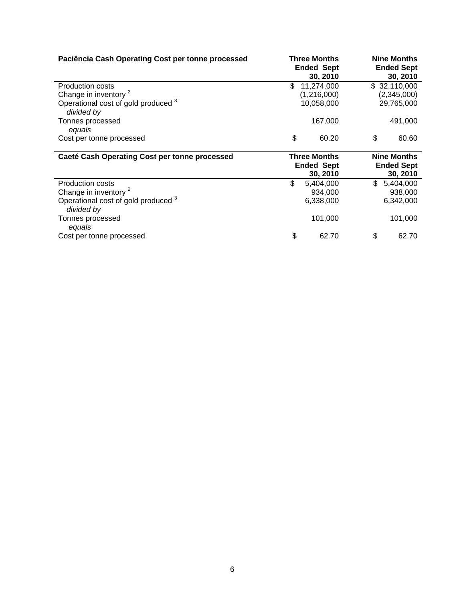| Paciência Cash Operating Cost per tonne processed            | <b>Three Months</b><br><b>Ended Sept</b><br>30, 2010 | <b>Nine Months</b><br><b>Ended Sept</b><br>30, 2010 |
|--------------------------------------------------------------|------------------------------------------------------|-----------------------------------------------------|
| <b>Production costs</b>                                      | \$<br>11,274,000                                     | \$32,110,000                                        |
| Change in inventory <sup>2</sup>                             | (1,216,000)                                          | (2,345,000)                                         |
| Operational cost of gold produced <sup>3</sup><br>divided by | 10,058,000                                           | 29,765,000                                          |
| Tonnes processed                                             | 167,000                                              | 491,000                                             |
| equals                                                       |                                                      |                                                     |
| Cost per tonne processed                                     | \$<br>60.20                                          | \$<br>60.60                                         |
|                                                              |                                                      |                                                     |
|                                                              |                                                      |                                                     |
| Caeté Cash Operating Cost per tonne processed                | <b>Three Months</b>                                  | <b>Nine Months</b>                                  |
|                                                              | <b>Ended Sept</b>                                    | <b>Ended Sept</b>                                   |
|                                                              | 30, 2010                                             | 30, 2010                                            |
| <b>Production costs</b>                                      | \$<br>5,404,000                                      | \$5,404,000                                         |
| Change in inventory <sup>2</sup>                             | 934,000                                              | 938,000                                             |
| Operational cost of gold produced 3                          | 6,338,000                                            | 6,342,000                                           |
| divided by                                                   |                                                      |                                                     |
| Tonnes processed<br>equals                                   | 101,000                                              | 101,000                                             |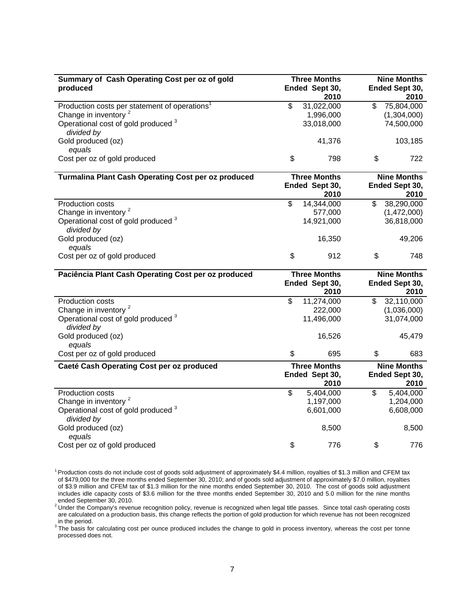| Summary of Cash Operating Cost per oz of gold              | <b>Three Months</b> |           | <b>Nine Months</b>     |
|------------------------------------------------------------|---------------------|-----------|------------------------|
| produced                                                   | Ended Sept 30,      | 2010      | Ended Sept 30,<br>2010 |
| Production costs per statement of operations <sup>1</sup>  | \$<br>31,022,000    | \$        | 75,804,000             |
| Change in inventory <sup>2</sup>                           | 1,996,000           |           | (1,304,000)            |
| Operational cost of gold produced 3                        | 33,018,000          |           | 74,500,000             |
| divided by                                                 |                     |           |                        |
| Gold produced (oz)                                         |                     | 41,376    | 103,185                |
| equals                                                     |                     |           |                        |
| Cost per oz of gold produced                               | \$                  | \$<br>798 | 722                    |
| <b>Turmalina Plant Cash Operating Cost per oz produced</b> | <b>Three Months</b> |           | <b>Nine Months</b>     |
|                                                            | Ended Sept 30,      | 2010      | Ended Sept 30,<br>2010 |
| Production costs                                           | \$<br>14,344,000    | \$        | 38,290,000             |
| Change in inventory <sup>2</sup>                           | 577,000             |           | (1,472,000)            |
| Operational cost of gold produced <sup>3</sup>             | 14,921,000          |           | 36,818,000             |
| divided by                                                 |                     |           |                        |
| Gold produced (oz)                                         |                     | 16,350    | 49,206                 |
| equals                                                     |                     |           |                        |
| Cost per oz of gold produced                               | \$                  | \$<br>912 | 748                    |
| Paciência Plant Cash Operating Cost per oz produced        | <b>Three Months</b> |           | <b>Nine Months</b>     |
|                                                            | Ended Sept 30,      |           | Ended Sept 30,         |
|                                                            |                     | 2010      | 2010                   |
| Production costs                                           | \$<br>11,274,000    | \$        | 32,110,000             |
| Change in inventory <sup>2</sup>                           | 222,000             |           | (1,036,000)            |
| Operational cost of gold produced 3<br>divided by          | 11,496,000          |           | 31,074,000             |
| Gold produced (oz)                                         |                     | 16,526    | 45,479                 |
| equals<br>Cost per oz of gold produced                     | \$                  | \$<br>695 | 683                    |
|                                                            |                     |           |                        |
| Caeté Cash Operating Cost per oz produced                  | <b>Three Months</b> |           | <b>Nine Months</b>     |
|                                                            | Ended Sept 30,      | 2010      | Ended Sept 30,<br>2010 |
| Production costs                                           | \$<br>5,404,000     | \$        | 5,404,000              |
| Change in inventory <sup>2</sup>                           | 1,197,000           |           | 1,204,000              |
| Operational cost of gold produced 3                        | 6,601,000           |           | 6,608,000              |
| divided by                                                 |                     |           |                        |
| Gold produced (oz)                                         |                     | 8,500     | 8,500                  |
| equals                                                     |                     |           |                        |
| Cost per oz of gold produced                               | \$                  | \$<br>776 | 776                    |

<sup>&</sup>lt;sup>1</sup> Production costs do not include cost of goods sold adjustment of approximately \$4.4 million, royalties of \$1.3 million and CFEM tax of \$479,000 for the three months ended September 30, 2010; and of goods sold adjustment of approximately \$7.0 million, royalties of \$3.9 million and CFEM tax of \$1.3 million for the nine months ended September 30, 2010. The cost of goods sold adjustment includes idle capacity costs of \$3.6 million for the three months ended September 30, 2010 and 5.0 million for the nine months ended September 30, 2010.<br><sup>2</sup> Under the Company's revenue recognition policy, revenue is recognized when legal title passes. Since total cash operating costs

are calculated on a production basis, this change reflects the portion of gold production for which revenue has not been recognized in the period.

<sup>3</sup>The basis for calculating cost per ounce produced includes the change to gold in process inventory, whereas the cost per tonne processed does not.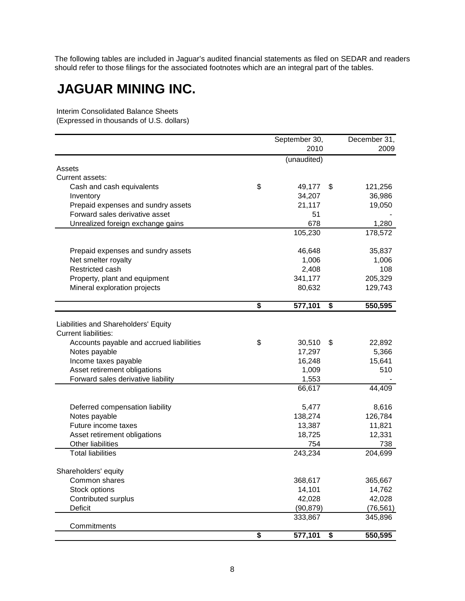The following tables are included in Jaguar's audited financial statements as filed on SEDAR and readers should refer to those filings for the associated footnotes which are an integral part of the tables.

# **JAGUAR MINING INC.**

Interim Consolidated Balance Sheets (Expressed in thousands of U.S. dollars)

|                                          |                                      | September 30, | December 31,  |
|------------------------------------------|--------------------------------------|---------------|---------------|
|                                          |                                      | 2010          | 2009          |
|                                          |                                      | (unaudited)   |               |
| Assets                                   |                                      |               |               |
| Current assets:                          |                                      |               |               |
| Cash and cash equivalents                | \$                                   | 49,177        | \$<br>121,256 |
| Inventory                                |                                      | 34,207        | 36,986        |
| Prepaid expenses and sundry assets       |                                      | 21,117        | 19,050        |
| Forward sales derivative asset           |                                      | 51            |               |
| Unrealized foreign exchange gains        |                                      | 678           | 1,280         |
|                                          |                                      | 105,230       | 178,572       |
| Prepaid expenses and sundry assets       |                                      | 46,648        | 35,837        |
| Net smelter royalty                      |                                      | 1,006         | 1,006         |
| Restricted cash                          |                                      | 2,408         | 108           |
| Property, plant and equipment            |                                      | 341,177       | 205,329       |
| Mineral exploration projects             |                                      | 80,632        | 129,743       |
|                                          | $\overline{\boldsymbol{\mathsf{s}}}$ | 577,101       | \$<br>550,595 |
|                                          |                                      |               |               |
| Liabilities and Shareholders' Equity     |                                      |               |               |
| <b>Current liabilities:</b>              |                                      |               |               |
| Accounts payable and accrued liabilities | \$                                   | 30,510        | \$<br>22,892  |
| Notes payable                            |                                      | 17,297        | 5,366         |
| Income taxes payable                     |                                      | 16,248        | 15,641        |
| Asset retirement obligations             |                                      | 1,009         | 510           |
| Forward sales derivative liability       |                                      | 1,553         |               |
|                                          |                                      | 66,617        | 44,409        |
| Deferred compensation liability          |                                      | 5,477         | 8,616         |
| Notes payable                            |                                      | 138,274       | 126,784       |
| Future income taxes                      |                                      | 13,387        | 11,821        |
| Asset retirement obligations             |                                      | 18,725        | 12,331        |
| Other liabilities                        |                                      | 754           | 738           |
| <b>Total liabilities</b>                 |                                      | 243,234       | 204,699       |
| Shareholders' equity                     |                                      |               |               |
| Common shares                            |                                      | 368,617       | 365,667       |
| Stock options                            |                                      | 14,101        | 14,762        |
| Contributed surplus                      |                                      | 42,028        | 42,028        |
| Deficit                                  |                                      | (90, 879)     | (76, 561)     |
| Commitments                              |                                      | 333,867       | 345,896       |
|                                          | \$                                   | 577,101       | \$<br>550,595 |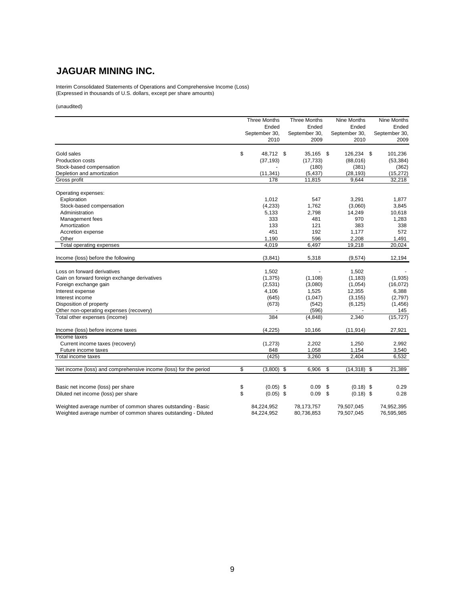## **JAGUAR MINING INC.**

Interim Consolidated Statements of Operations and Comprehensive Income (Loss) (Expressed in thousands of U.S. dollars, except per share amounts)

#### (unaudited)

|                                                                  | <b>Three Months</b><br>Ended<br>September 30,<br>2010 | <b>Three Months</b><br>Ended<br>September 30,<br>2009 | Nine Months<br>Ended<br>September 30,<br>2010 | Nine Months<br>Ended<br>September 30,<br>2009 |
|------------------------------------------------------------------|-------------------------------------------------------|-------------------------------------------------------|-----------------------------------------------|-----------------------------------------------|
| Gold sales                                                       | \$<br>48,712 \$                                       | 35,165 \$                                             | 126,234 \$                                    | 101,236                                       |
| <b>Production costs</b>                                          | (37, 193)                                             | (17, 733)                                             | (88,016)                                      | (53, 384)                                     |
| Stock-based compensation                                         |                                                       | (180)                                                 | (381)                                         | (362)                                         |
| Depletion and amortization                                       | (11, 341)                                             | (5, 437)                                              | (28, 193)                                     | (15, 272)                                     |
| Gross profit                                                     | 178                                                   | 11,815                                                | 9,644                                         | 32,218                                        |
| Operating expenses:                                              |                                                       |                                                       |                                               |                                               |
| Exploration                                                      | 1,012                                                 | 547                                                   | 3,291                                         | 1,877                                         |
| Stock-based compensation                                         | (4,233)                                               | 1,762                                                 | (3,060)                                       | 3,845                                         |
| Administration                                                   | 5,133                                                 | 2,798                                                 | 14,249                                        | 10,618                                        |
| Management fees                                                  | 333                                                   | 481                                                   | 970                                           | 1,283                                         |
| Amortization                                                     | 133                                                   | 121                                                   | 383                                           | 338                                           |
| Accretion expense                                                | 451                                                   | 192                                                   | 1,177                                         | 572                                           |
| Other                                                            | 1.190                                                 | 596                                                   | 2,208                                         | 1.491                                         |
| Total operating expenses                                         | 4,019                                                 | 6,497                                                 | 19,218                                        | 20,024                                        |
| Income (loss) before the following                               | (3, 841)                                              | 5,318                                                 | (9,574)                                       | 12,194                                        |
| Loss on forward derivatives                                      | 1,502                                                 |                                                       | 1,502                                         |                                               |
| Gain on forward foreign exchange derivatives                     | (1, 375)                                              | (1, 108)                                              | (1, 183)                                      | (1,935)                                       |
| Foreign exchange gain                                            | (2,531)                                               | (3,080)                                               | (1,054)                                       | (16,072)                                      |
| Interest expense                                                 | 4,106                                                 | 1,525                                                 | 12,355                                        | 6,388                                         |
| Interest income                                                  | (645)                                                 | (1,047)                                               | (3, 155)                                      | (2,797)                                       |
| Disposition of property                                          | (673)                                                 | (542)                                                 | (6, 125)                                      | (1, 456)                                      |
| Other non-operating expenses (recovery)                          |                                                       | (596)                                                 |                                               | 145                                           |
| Total other expenses (income)                                    | 384                                                   | (4, 848)                                              | 2,340                                         | (15, 727)                                     |
| Income (loss) before income taxes                                | (4, 225)                                              | 10,166                                                | (11, 914)                                     | 27,921                                        |
| Income taxes                                                     |                                                       |                                                       |                                               |                                               |
| Current income taxes (recovery)                                  | (1, 273)                                              | 2,202                                                 | 1,250                                         | 2,992                                         |
| Future income taxes                                              | 848                                                   | 1,058                                                 | 1,154                                         | 3,540                                         |
| Total income taxes                                               | (425)                                                 | 3,260                                                 | 2,404                                         | 6,532                                         |
| Net income (loss) and comprehensive income (loss) for the period | \$<br>(3,800)                                         | \$<br>6,906                                           | \$<br>$(14, 318)$ \$                          | 21,389                                        |
|                                                                  |                                                       |                                                       |                                               |                                               |
| Basic net income (loss) per share                                | \$<br>$(0.05)$ \$                                     | 0.09                                                  | \$<br>$(0.18)$ \$                             | 0.29                                          |
| Diluted net income (loss) per share                              | \$<br>$(0.05)$ \$                                     | 0.09                                                  | \$<br>$(0.18)$ \$                             | 0.28                                          |
| Weighted average number of common shares outstanding - Basic     | 84,224,952                                            | 78,173,757                                            | 79,507,045                                    | 74,952,395                                    |
| Weighted average number of common shares outstanding - Diluted   | 84,224,952                                            | 80,736,853                                            | 79,507,045                                    | 76,595,985                                    |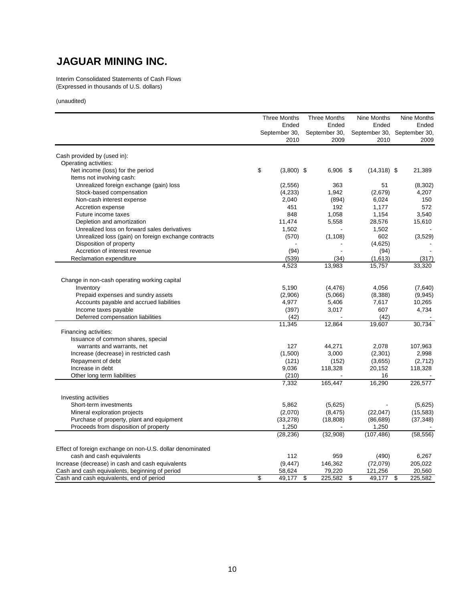# **JAGUAR MINING INC.**

Interim Consolidated Statements of Cash Flows (Expressed in thousands of U.S. dollars)

(unaudited)

|                                                           | <b>Three Months</b> |                | <b>Three Months</b> | Nine Months    | Nine Months   |  |
|-----------------------------------------------------------|---------------------|----------------|---------------------|----------------|---------------|--|
|                                                           |                     | Ended          | Ended               | Ended          | Ended         |  |
|                                                           |                     | September 30,  | September 30,       | September 30,  | September 30, |  |
|                                                           |                     | 2010           | 2009                | 2010           | 2009          |  |
| Cash provided by (used in):                               |                     |                |                     |                |               |  |
| Operating activities:                                     |                     |                |                     |                |               |  |
| Net income (loss) for the period                          | \$                  | $(3,800)$ \$   | $6,906$ \$          | $(14,318)$ \$  | 21,389        |  |
| Items not involving cash:                                 |                     |                |                     |                |               |  |
| Unrealized foreign exchange (gain) loss                   |                     | (2,556)        | 363                 | 51             | (8,302)       |  |
| Stock-based compensation                                  |                     | (4,233)        | 1,942               | (2,679)        | 4,207         |  |
| Non-cash interest expense                                 |                     | 2,040          | (894)               | 6,024          | 150           |  |
|                                                           |                     |                | 192                 |                |               |  |
| Accretion expense                                         |                     | 451            |                     | 1,177          | 572           |  |
| Future income taxes                                       |                     | 848            | 1,058               | 1,154          | 3,540         |  |
| Depletion and amortization                                |                     | 11,474         | 5,558               | 28,576         | 15,610        |  |
| Unrealized loss on forward sales derivatives              |                     | 1,502          |                     | 1,502          |               |  |
| Unrealized loss (gain) on foreign exchange contracts      |                     | (570)          | (1, 108)            | 602            | (3,529)       |  |
| Disposition of property                                   |                     |                |                     | (4,625)        |               |  |
| Accretion of interest revenue                             |                     | (94)           |                     | (94)           |               |  |
| Reclamation expenditure                                   |                     | (539)          | (34)                | (1,613)        | (317)         |  |
|                                                           |                     | 4,523          | 13,983              | 15,757         | 33,320        |  |
| Change in non-cash operating working capital              |                     |                |                     |                |               |  |
| Inventory                                                 |                     | 5,190          | (4, 476)            | 4,056          | (7,640)       |  |
| Prepaid expenses and sundry assets                        |                     | (2,906)        | (5,066)             | (8,388)        | (9, 945)      |  |
| Accounts payable and accrued liabilities                  |                     | 4,977          |                     |                | 10,265        |  |
|                                                           |                     |                | 5,406               | 7,617          |               |  |
| Income taxes payable                                      |                     | (397)          | 3,017               | 607            | 4,734         |  |
| Deferred compensation liabilities                         |                     | (42)<br>11,345 | 12,864              | (42)<br>19,607 | 30,734        |  |
| Financing activities:                                     |                     |                |                     |                |               |  |
| Issuance of common shares, special                        |                     |                |                     |                |               |  |
| warrants and warrants, net                                |                     | 127            | 44,271              | 2,078          | 107,963       |  |
| Increase (decrease) in restricted cash                    |                     | (1,500)        | 3,000               | (2,301)        | 2,998         |  |
| Repayment of debt                                         |                     |                | (152)               | (3,655)        | (2,712)       |  |
| Increase in debt                                          |                     | (121)          |                     |                |               |  |
|                                                           |                     | 9,036          | 118,328             | 20,152         | 118,328       |  |
| Other long term liabilities                               |                     | (210)<br>7,332 | 165,447             | 16<br>16,290   | 226,577       |  |
|                                                           |                     |                |                     |                |               |  |
| Investing activities                                      |                     |                |                     |                |               |  |
| Short-term investments                                    |                     | 5,862          | (5,625)             |                | (5,625)       |  |
| Mineral exploration projects                              |                     | (2,070)        | (8, 475)            | (22, 047)      | (15, 583)     |  |
| Purchase of property, plant and equipment                 |                     | (33, 278)      | (18, 808)           | (86, 689)      | (37, 348)     |  |
| Proceeds from disposition of property                     |                     | 1,250          |                     | 1,250          |               |  |
|                                                           |                     | (28, 236)      | (32,908)            | (107, 486)     | (58, 556)     |  |
| Effect of foreign exchange on non-U.S. dollar denominated |                     |                |                     |                |               |  |
|                                                           |                     |                |                     |                |               |  |
| cash and cash equivalents                                 |                     | 112            | 959                 | (490)          | 6,267         |  |
| Increase (decrease) in cash and cash equivalents          |                     | (9, 447)       | 146,362             | (72,079)       | 205,022       |  |
| Cash and cash equivalents, beginning of period            |                     | 58,624         | 79,220              | 121,256        | 20,560        |  |
| Cash and cash equivalents, end of period                  | \$                  | 49,177         | \$<br>225,582       | \$<br>49,177   | \$<br>225,582 |  |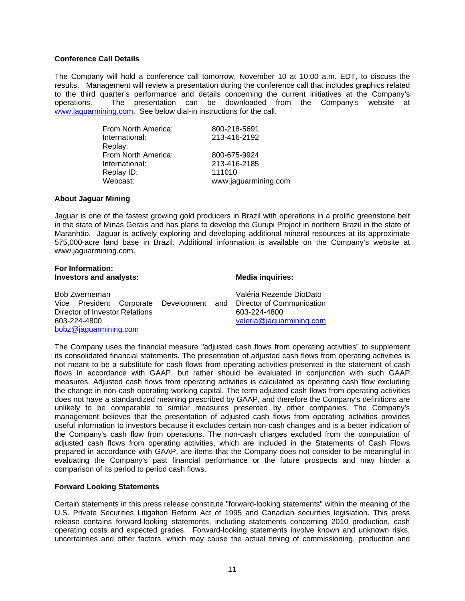## **Conference Call Details**

The Company will hold a conference call tomorrow, November 10 at 10:00 a.m. EDT, to discuss the results. Management will review a presentation during the conference call that includes graphics related to the third quarter's performance and details concerning the current initiatives at the Company's operations. The presentation can be downloaded from the Company's website at www.jaguarmining.com. See below dial-in instructions for the call.

| From North America: | 800-218-5691         |
|---------------------|----------------------|
| International:      | 213-416-2192         |
| Replay:             |                      |
| From North America: | 800-675-9924         |
| International:      | 213-416-2185         |
| Replay ID:          | 111010               |
| Webcast:            | www.jaguarmining.com |

## **About Jaguar Mining**

Jaguar is one of the fastest growing gold producers in Brazil with operations in a prolific greenstone belt in the state of Minas Gerais and has plans to develop the Gurupi Project in northern Brazil in the state of Maranhão. Jaguar is actively exploring and developing additional mineral resources at its approximate 575,000-acre land base in Brazil. Additional information is available on the Company's website at www.jaguarmining.com.

### **For Information: Investors and analysts:** Media inquiries:

| Bob Zwerneman                  |  |  |  |                          | Valéria Rezende DioDato                                            |
|--------------------------------|--|--|--|--------------------------|--------------------------------------------------------------------|
|                                |  |  |  |                          | Vice President Corporate Development and Director of Communication |
| Director of Investor Relations |  |  |  |                          | 603-224-4800                                                       |
| 603-224-4800                   |  |  |  | valeria@jaguarmining.com |                                                                    |
| bobz@jaguarmining.com          |  |  |  |                          |                                                                    |

The Company uses the financial measure "adjusted cash flows from operating activities" to supplement its consolidated financial statements. The presentation of adjusted cash flows from operating activities is not meant to be a substitute for cash flows from operating activities presented in the statement of cash flows in accordance with GAAP, but rather should be evaluated in conjunction with such GAAP measures. Adjusted cash flows from operating activities is calculated as operating cash flow excluding the change in non-cash operating working capital. The term adjusted cash flows from operating activities does not have a standardized meaning prescribed by GAAP, and therefore the Company's definitions are unlikely to be comparable to similar measures presented by other companies. The Company's management believes that the presentation of adjusted cash flows from operating activities provides useful information to investors because it excludes certain non-cash changes and is a better indication of the Company's cash flow from operations. The non-cash charges excluded from the computation of adjusted cash flows from operating activities, which are included in the Statements of Cash Flows prepared in accordance with GAAP, are items that the Company does not consider to be meaningful in evaluating the Company's past financial performance or the future prospects and may hinder a comparison of its period to period cash flows.

## **Forward Looking Statements**

Certain statements in this press release constitute "forward-looking statements" within the meaning of the U.S. Private Securities Litigation Reform Act of 1995 and Canadian securities legislation. This press release contains forward-looking statements, including statements concerning 2010 production, cash operating costs and expected grades. Forward-looking statements involve known and unknown risks, uncertainties and other factors, which may cause the actual timing of commissioning, production and